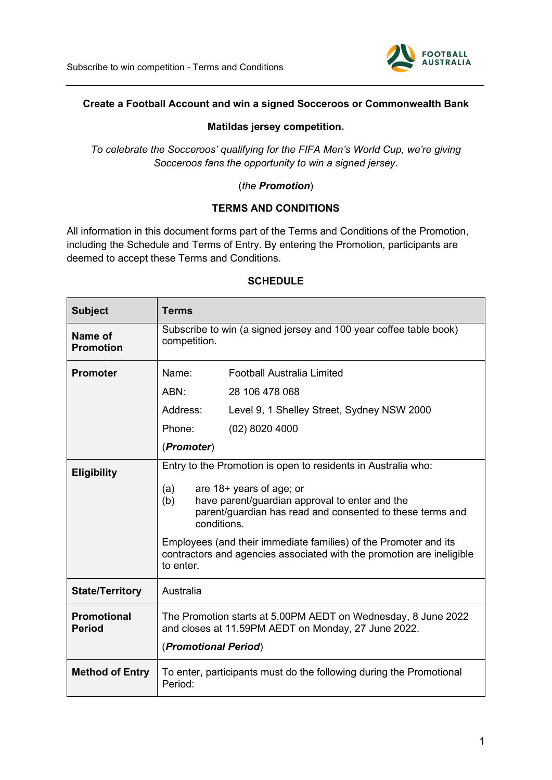

### **Create a Football Account and win a signed Socceroos or Commonwealth Bank**

### **Matildas jersey competition.**

*To celebrate the Socceroos' qualifying for the FIFA Men's World Cup, we're giving Socceroos fans the opportunity to win a signed jersey.*

## (*the Promotion*)

### **TERMS AND CONDITIONS**

All information in this document forms part of the Terms and Conditions of the Promotion, including the Schedule and Terms of Entry. By entering the Promotion, participants are deemed to accept these Terms and Conditions.

| <b>Subject</b>                      | <b>Terms</b>                                                                                                                                                                                                                                                                                                                                                                                    |                                            |
|-------------------------------------|-------------------------------------------------------------------------------------------------------------------------------------------------------------------------------------------------------------------------------------------------------------------------------------------------------------------------------------------------------------------------------------------------|--------------------------------------------|
| Name of<br><b>Promotion</b>         | Subscribe to win (a signed jersey and 100 year coffee table book)<br>competition.                                                                                                                                                                                                                                                                                                               |                                            |
| <b>Promoter</b>                     | Name:                                                                                                                                                                                                                                                                                                                                                                                           | <b>Football Australia Limited</b>          |
|                                     | ABN:                                                                                                                                                                                                                                                                                                                                                                                            | 28 106 478 068                             |
|                                     | Address:                                                                                                                                                                                                                                                                                                                                                                                        | Level 9, 1 Shelley Street, Sydney NSW 2000 |
|                                     | Phone:                                                                                                                                                                                                                                                                                                                                                                                          | $(02)$ 8020 4000                           |
|                                     | (Promoter)                                                                                                                                                                                                                                                                                                                                                                                      |                                            |
| <b>Eligibility</b>                  | Entry to the Promotion is open to residents in Australia who:<br>are 18+ years of age; or<br>(a)<br>(b)<br>have parent/guardian approval to enter and the<br>parent/guardian has read and consented to these terms and<br>conditions.<br>Employees (and their immediate families) of the Promoter and its<br>contractors and agencies associated with the promotion are ineligible<br>to enter. |                                            |
| <b>State/Territory</b>              | Australia                                                                                                                                                                                                                                                                                                                                                                                       |                                            |
| <b>Promotional</b><br><b>Period</b> | The Promotion starts at 5.00PM AEDT on Wednesday, 8 June 2022<br>and closes at 11.59PM AEDT on Monday, 27 June 2022.<br>(Promotional Period)                                                                                                                                                                                                                                                    |                                            |
| <b>Method of Entry</b>              | To enter, participants must do the following during the Promotional<br>Period:                                                                                                                                                                                                                                                                                                                  |                                            |

### **SCHEDULE**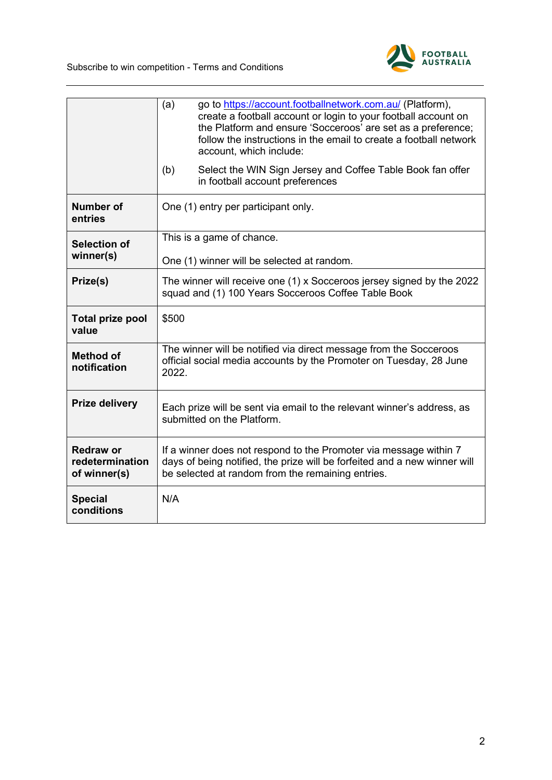

|                                                     | go to https://account.footballnetwork.com.au/ (Platform),<br>(a)<br>create a football account or login to your football account on<br>the Platform and ensure 'Socceroos' are set as a preference;<br>follow the instructions in the email to create a football network<br>account, which include: |  |  |
|-----------------------------------------------------|----------------------------------------------------------------------------------------------------------------------------------------------------------------------------------------------------------------------------------------------------------------------------------------------------|--|--|
|                                                     | (b)<br>Select the WIN Sign Jersey and Coffee Table Book fan offer<br>in football account preferences                                                                                                                                                                                               |  |  |
| <b>Number of</b><br>entries                         | One (1) entry per participant only.                                                                                                                                                                                                                                                                |  |  |
| <b>Selection of</b>                                 | This is a game of chance.                                                                                                                                                                                                                                                                          |  |  |
| winner(s)                                           | One (1) winner will be selected at random.                                                                                                                                                                                                                                                         |  |  |
| Prize(s)                                            | The winner will receive one (1) x Socceroos jersey signed by the 2022<br>squad and (1) 100 Years Socceroos Coffee Table Book                                                                                                                                                                       |  |  |
| <b>Total prize pool</b><br>value                    | \$500                                                                                                                                                                                                                                                                                              |  |  |
| <b>Method of</b><br>notification                    | The winner will be notified via direct message from the Socceroos<br>official social media accounts by the Promoter on Tuesday, 28 June<br>2022.                                                                                                                                                   |  |  |
|                                                     |                                                                                                                                                                                                                                                                                                    |  |  |
| <b>Prize delivery</b>                               | Each prize will be sent via email to the relevant winner's address, as<br>submitted on the Platform.                                                                                                                                                                                               |  |  |
| <b>Redraw or</b><br>redetermination<br>of winner(s) | If a winner does not respond to the Promoter via message within 7<br>days of being notified, the prize will be forfeited and a new winner will<br>be selected at random from the remaining entries.                                                                                                |  |  |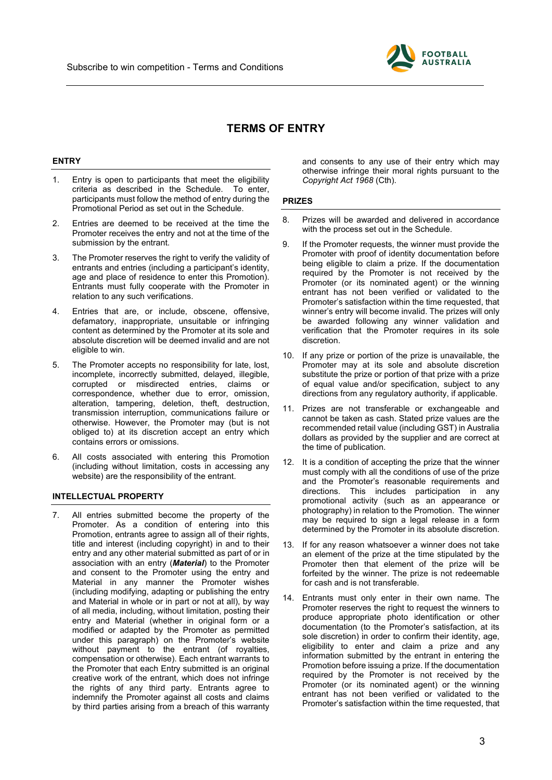

# **TERMS OF ENTRY**

#### **ENTRY**

- 1. Entry is open to participants that meet the eligibility criteria as described in the Schedule. To enter, participants must follow the method of entry during the Promotional Period as set out in the Schedule.
- 2. Entries are deemed to be received at the time the Promoter receives the entry and not at the time of the submission by the entrant.
- 3. The Promoter reserves the right to verify the validity of entrants and entries (including a participant's identity, age and place of residence to enter this Promotion). Entrants must fully cooperate with the Promoter in relation to any such verifications.
- 4. Entries that are, or include, obscene, offensive, defamatory, inappropriate, unsuitable or infringing content as determined by the Promoter at its sole and absolute discretion will be deemed invalid and are not eligible to win.
- 5. The Promoter accepts no responsibility for late, lost, incomplete, incorrectly submitted, delayed, illegible, corrupted or misdirected entries, claims or correspondence, whether due to error, omission, alteration, tampering, deletion, theft, destruction, transmission interruption, communications failure or otherwise. However, the Promoter may (but is not obliged to) at its discretion accept an entry which contains errors or omissions.
- 6. All costs associated with entering this Promotion (including without limitation, costs in accessing any website) are the responsibility of the entrant.

#### **INTELLECTUAL PROPERTY**

7. All entries submitted become the property of the Promoter. As a condition of entering into this Promotion, entrants agree to assign all of their rights, title and interest (including copyright) in and to their entry and any other material submitted as part of or in association with an entry (*Material*) to the Promoter and consent to the Promoter using the entry and Material in any manner the Promoter wishes (including modifying, adapting or publishing the entry and Material in whole or in part or not at all), by way of all media, including, without limitation, posting their entry and Material (whether in original form or a modified or adapted by the Promoter as permitted under this paragraph) on the Promoter's website without payment to the entrant (of royalties, compensation or otherwise). Each entrant warrants to the Promoter that each Entry submitted is an original creative work of the entrant, which does not infringe the rights of any third party. Entrants agree to indemnify the Promoter against all costs and claims by third parties arising from a breach of this warranty

and consents to any use of their entry which may otherwise infringe their moral rights pursuant to the *Copyright Act 1968* (Cth).

#### **PRIZES**

- 8. Prizes will be awarded and delivered in accordance with the process set out in the Schedule.
- 9. If the Promoter requests, the winner must provide the Promoter with proof of identity documentation before being eligible to claim a prize. If the documentation required by the Promoter is not received by the Promoter (or its nominated agent) or the winning entrant has not been verified or validated to the Promoter's satisfaction within the time requested, that winner's entry will become invalid. The prizes will only be awarded following any winner validation and verification that the Promoter requires in its sole discretion.
- 10. If any prize or portion of the prize is unavailable, the Promoter may at its sole and absolute discretion substitute the prize or portion of that prize with a prize of equal value and/or specification, subject to any directions from any regulatory authority, if applicable.
- 11. Prizes are not transferable or exchangeable and cannot be taken as cash. Stated prize values are the recommended retail value (including GST) in Australia dollars as provided by the supplier and are correct at the time of publication.
- 12. It is a condition of accepting the prize that the winner must comply with all the conditions of use of the prize and the Promoter's reasonable requirements and directions. This includes participation in any promotional activity (such as an appearance or photography) in relation to the Promotion. The winner may be required to sign a legal release in a form determined by the Promoter in its absolute discretion.
- 13. If for any reason whatsoever a winner does not take an element of the prize at the time stipulated by the Promoter then that element of the prize will be forfeited by the winner. The prize is not redeemable for cash and is not transferable.
- 14. Entrants must only enter in their own name. The Promoter reserves the right to request the winners to produce appropriate photo identification or other documentation (to the Promoter's satisfaction, at its sole discretion) in order to confirm their identity, age, eligibility to enter and claim a prize and any information submitted by the entrant in entering the Promotion before issuing a prize. If the documentation required by the Promoter is not received by the Promoter (or its nominated agent) or the winning entrant has not been verified or validated to the Promoter's satisfaction within the time requested, that